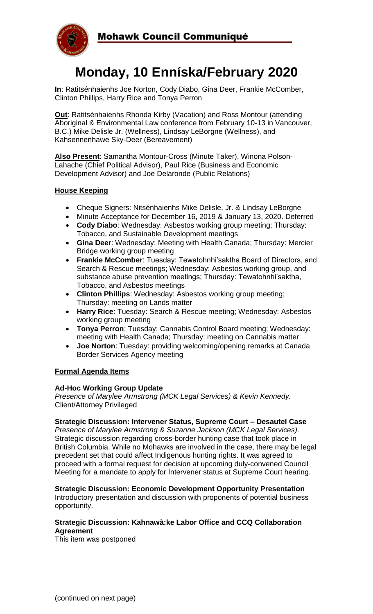

# **Monday, 10 Enníska/February 2020**

**In**: Ratitsénhaienhs Joe Norton, Cody Diabo, Gina Deer, Frankie McComber, Clinton Phillips, Harry Rice and Tonya Perron

**Out**: Ratitsénhaienhs Rhonda Kirby (Vacation) and Ross Montour (attending Aboriginal & Environmental Law conference from February 10-13 in Vancouver, B.C.) Mike Delisle Jr. (Wellness), Lindsay LeBorgne (Wellness), and Kahsennenhawe Sky-Deer (Bereavement)

**Also Present**: Samantha Montour-Cross (Minute Taker), Winona Polson-Lahache (Chief Political Advisor), Paul Rice (Business and Economic Development Advisor) and Joe Delaronde (Public Relations)

#### **House Keeping**

- Cheque Signers: Nitsénhaienhs Mike Delisle, Jr. & Lindsay LeBorgne
- Minute Acceptance for December 16, 2019 & January 13, 2020. Deferred
- **Cody Diabo**: Wednesday: Asbestos working group meeting; Thursday: Tobacco, and Sustainable Development meetings
- **Gina Deer**: Wednesday: Meeting with Health Canada; Thursday: Mercier Bridge working group meeting
- **Frankie McComber**: Tuesday: Tewatohnhi'saktha Board of Directors, and Search & Rescue meetings; Wednesday: Asbestos working group, and substance abuse prevention meetings; Thursday: Tewatohnhi'saktha, Tobacco, and Asbestos meetings
- **Clinton Phillips**: Wednesday: Asbestos working group meeting; Thursday: meeting on Lands matter
- **Harry Rice**: Tuesday: Search & Rescue meeting; Wednesday: Asbestos working group meeting
- **Tonya Perron**: Tuesday: Cannabis Control Board meeting; Wednesday: meeting with Health Canada; Thursday: meeting on Cannabis matter
- **Joe Norton**: Tuesday: providing welcoming/opening remarks at Canada Border Services Agency meeting

#### **Formal Agenda Items**

#### **Ad-Hoc Working Group Update**

*Presence of Marylee Armstrong (MCK Legal Services) & Kevin Kennedy.* Client/Attorney Privileged

#### **Strategic Discussion: Intervener Status, Supreme Court – Desautel Case**

*Presence of Marylee Armstrong & Suzanne Jackson (MCK Legal Services).*  Strategic discussion regarding cross-border hunting case that took place in British Columbia. While no Mohawks are involved in the case, there may be legal precedent set that could affect Indigenous hunting rights. It was agreed to proceed with a formal request for decision at upcoming duly-convened Council Meeting for a mandate to apply for Intervener status at Supreme Court hearing.

#### **Strategic Discussion: Economic Development Opportunity Presentation**

Introductory presentation and discussion with proponents of potential business opportunity.

#### **Strategic Discussion: Kahnawà:ke Labor Office and CCQ Collaboration Agreement**

This item was postponed